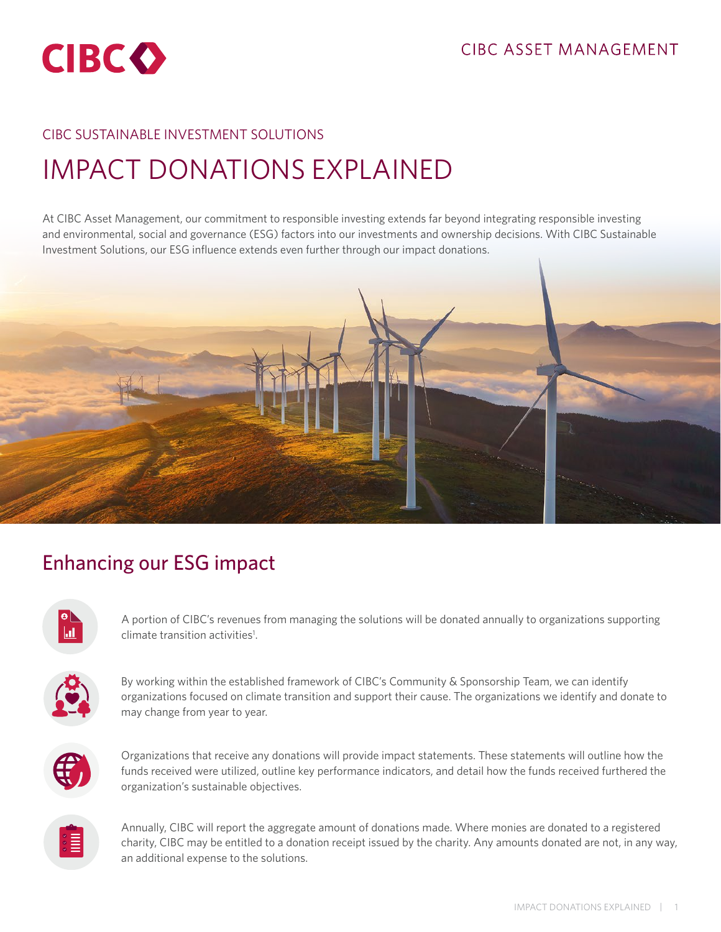

#### CIBC SUSTAINABLE INVESTMENT SOLUTIONS

# IMPACT DONATIONS EXPLAINED

At CIBC Asset Management, our commitment to responsible investing extends far beyond integrating responsible investing and environmental, social and governance (ESG) factors into our investments and ownership decisions. With CIBC Sustainable Investment Solutions, our ESG influence extends even further through our impact donations.



## Enhancing our ESG impact

A portion of CIBC's revenues from managing the solutions will be donated annually to organizations supporting climate transition activities<sup>1</sup>.



By working within the established framework of CIBC's Community & Sponsorship Team, we can identify organizations focused on climate transition and support their cause. The organizations we identify and donate to may change from year to year.



Organizations that receive any donations will provide impact statements. These statements will outline how the funds received were utilized, outline key performance indicators, and detail how the funds received furthered the organization's sustainable objectives.



Annually, CIBC will report the aggregate amount of donations made. Where monies are donated to a registered charity, CIBC may be entitled to a donation receipt issued by the charity. Any amounts donated are not, in any way, an additional expense to the solutions.